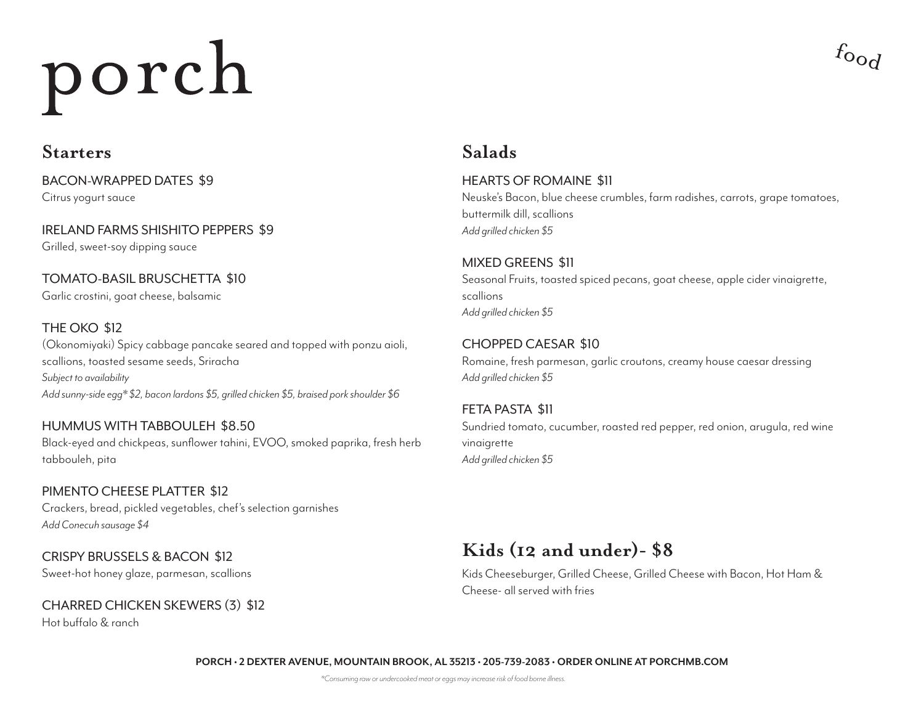### **Starters Salads**

BACON-WRAPPED DATES \$9 Citrus yogurt sauce

IRELAND FARMS SHISHITO PEPPERS \$9 Grilled, sweet-soy dipping sauce

#### TOMATO-BASIL BRUSCHETTA \$10 Garlic crostini, goat cheese, balsamic

#### THE OKO \$12

(Okonomiyaki) Spicy cabbage pancake seared and topped with ponzu aioli, scallions, toasted sesame seeds, Sriracha *Subject to availability Add sunny-side egg\* \$2, bacon lardons \$5, grilled chicken \$5, braised pork shoulder \$6*

#### HUMMUS WITH TABBOULEH \$8.50

Black-eyed and chickpeas, sunflower tahini, EVOO, smoked paprika, fresh herb tabbouleh, pita

#### PIMENTO CHEESE PLATTER \$12 Crackers, bread, pickled vegetables, chef's selection garnishes *Add Conecuh sausage \$4*

CRISPY BRUSSELS & BACON \$12 Sweet-hot honey glaze, parmesan, scallions

# CHARRED CHICKEN SKEWERS (3) \$12

Hot buffalo & ranch

#### HEARTS OF ROMAINE \$11 Neuske's Bacon, blue cheese crumbles, farm radishes, carrots, grape tomatoes, buttermilk dill, scallions *Add grilled chicken \$5*

 $f_{\text{O}_\text{O}f}$ 

#### MIXED GREENS \$11 Seasonal Fruits, toasted spiced pecans, goat cheese, apple cider vinaigrette, scallions *Add grilled chicken \$5*

#### CHOPPED CAESAR \$10

Romaine, fresh parmesan, garlic croutons, creamy house caesar dressing *Add grilled chicken \$5*

# FETA PASTA \$11

Sundried tomato, cucumber, roasted red pepper, red onion, arugula, red wine vinaigrette *Add grilled chicken \$5*

### **Kids (12 and under)- \$8**

Kids Cheeseburger, Grilled Cheese, Grilled Cheese with Bacon, Hot Ham & Cheese- all served with fries

**PORCH • 2 DEXTER AVENUE, MOUNTAIN BROOK, AL 35213 • 205-739-2083 • ORDER ONLINE AT PORCHMB.COM**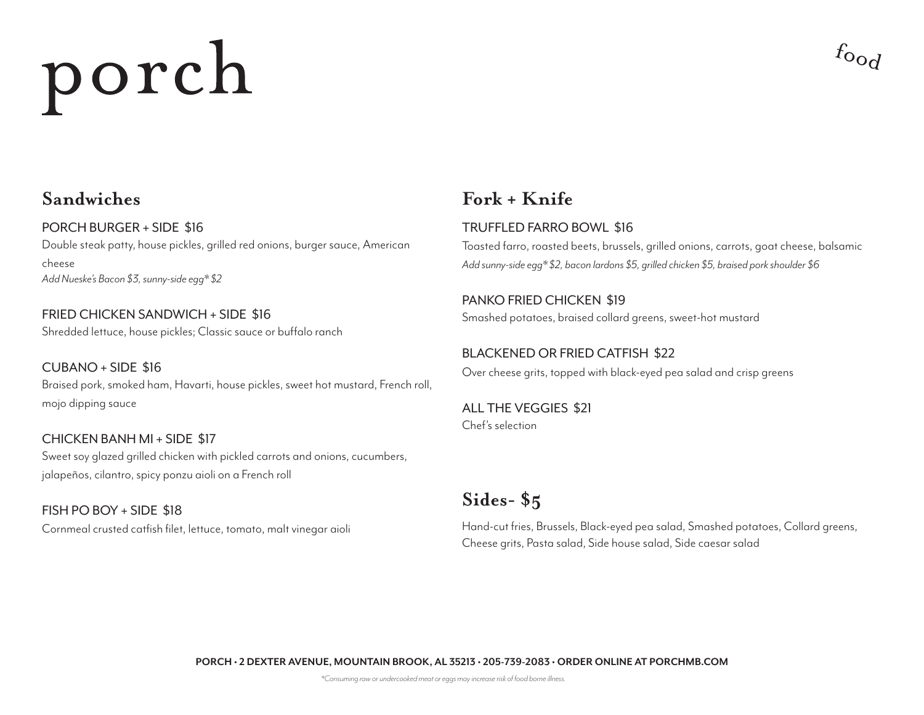# $f_{\text{O}_\text{O}_\text{C}}$

PORCH BURGER + SIDE \$16 Double steak patty, house pickles, grilled red onions, burger sauce, American cheese *Add Nueske's Bacon \$3, sunny-side egg\* \$2*

FRIED CHICKEN SANDWICH + SIDE \$16 Shredded lettuce, house pickles; Classic sauce or buffalo ranch

CUBANO + SIDE \$16 Braised pork, smoked ham, Havarti, house pickles, sweet hot mustard, French roll, mojo dipping sauce

CHICKEN BANH MI + SIDE \$17 Sweet soy glazed grilled chicken with pickled carrots and onions, cucumbers, jalapeños, cilantro, spicy ponzu aioli on a French roll

FISH PO BOY + SIDE \$18

## **Sandwiches Fork + Knife**

#### TRUFFLED FARRO BOWL \$16

Toasted farro, roasted beets, brussels, grilled onions, carrots, goat cheese, balsamic *Add sunny-side egg\* \$2, bacon lardons \$5, grilled chicken \$5, braised pork shoulder \$6*

#### PANKO FRIED CHICKEN \$19

Smashed potatoes, braised collard greens, sweet-hot mustard

#### BLACKENED OR FRIED CATFISH \$22

Over cheese grits, topped with black-eyed pea salad and crisp greens

ALL THE VEGGIES \$21 Chef's selection

## **Sides- \$5**

Cornmeal crusted catfish filet, lettuce, tomato, malt vinegar aioli Hand-cut fries, Brussels, Black-eyed pea salad, Smashed potatoes, Collard greens, Cheese grits, Pasta salad, Side house salad, Side caesar salad

**PORCH • 2 DEXTER AVENUE, MOUNTAIN BROOK, AL 35213 • 205-739-2083 • ORDER ONLINE AT PORCHMB.COM**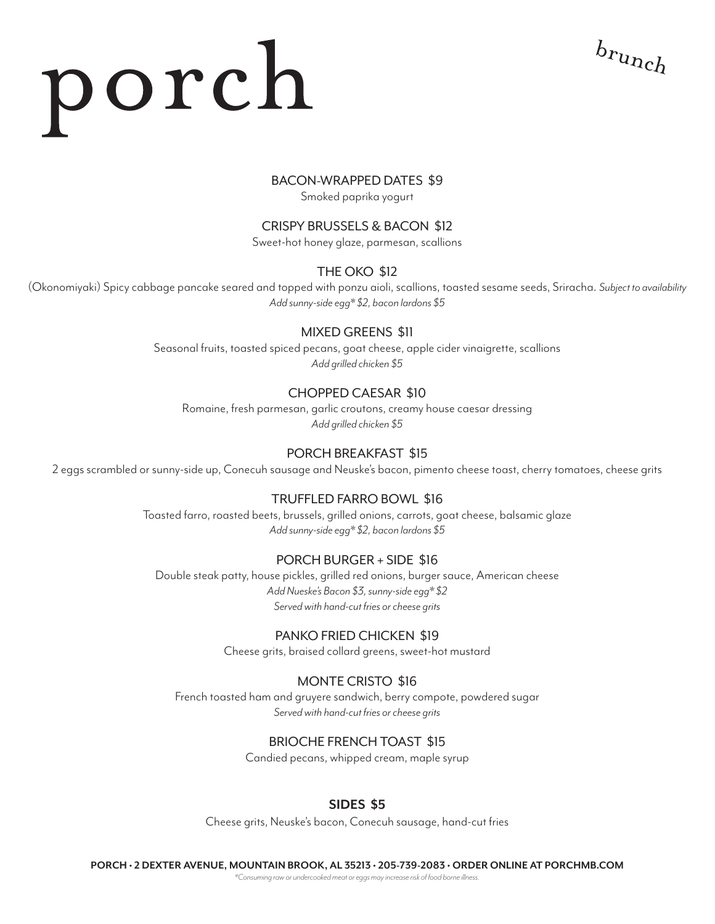$b_{r\nu nch}$ 

#### BACON-WRAPPED DATES \$9

Smoked paprika yogurt

#### CRISPY BRUSSELS & BACON \$12

Sweet-hot honey glaze, parmesan, scallions

#### THE OKO \$12

(Okonomiyaki) Spicy cabbage pancake seared and topped with ponzu aioli, scallions, toasted sesame seeds, Sriracha. *Subject to availability Add sunny-side egg\* \$2, bacon lardons \$5*

#### MIXED GREENS \$11

Seasonal fruits, toasted spiced pecans, goat cheese, apple cider vinaigrette, scallions *Add grilled chicken \$5*

#### CHOPPED CAESAR \$10

Romaine, fresh parmesan, garlic croutons, creamy house caesar dressing *Add grilled chicken \$5*

#### PORCH BREAKFAST \$15

2 eggs scrambled or sunny-side up, Conecuh sausage and Neuske's bacon, pimento cheese toast, cherry tomatoes, cheese grits

#### TRUFFLED FARRO BOWL \$16

Toasted farro, roasted beets, brussels, grilled onions, carrots, goat cheese, balsamic glaze *Add sunny-side egg\* \$2, bacon lardons \$5*

#### PORCH BURGER + SIDE \$16

Double steak patty, house pickles, grilled red onions, burger sauce, American cheese *Add Nueske's Bacon \$3, sunny-side egg\* \$2 Served with hand-cut fries or cheese grits*

#### PANKO FRIED CHICKEN \$19

Cheese grits, braised collard greens, sweet-hot mustard

#### MONTE CRISTO \$16

French toasted ham and gruyere sandwich, berry compote, powdered sugar *Served with hand-cut fries or cheese grits*

#### BRIOCHE FRENCH TOAST \$15

Candied pecans, whipped cream, maple syrup

#### **SIDES \$5**

Cheese grits, Neuske's bacon, Conecuh sausage, hand-cut fries

**PORCH • 2 DEXTER AVENUE, MOUNTAIN BROOK, AL 35213 • 205-739-2083 • ORDER ONLINE AT PORCHMB.COM**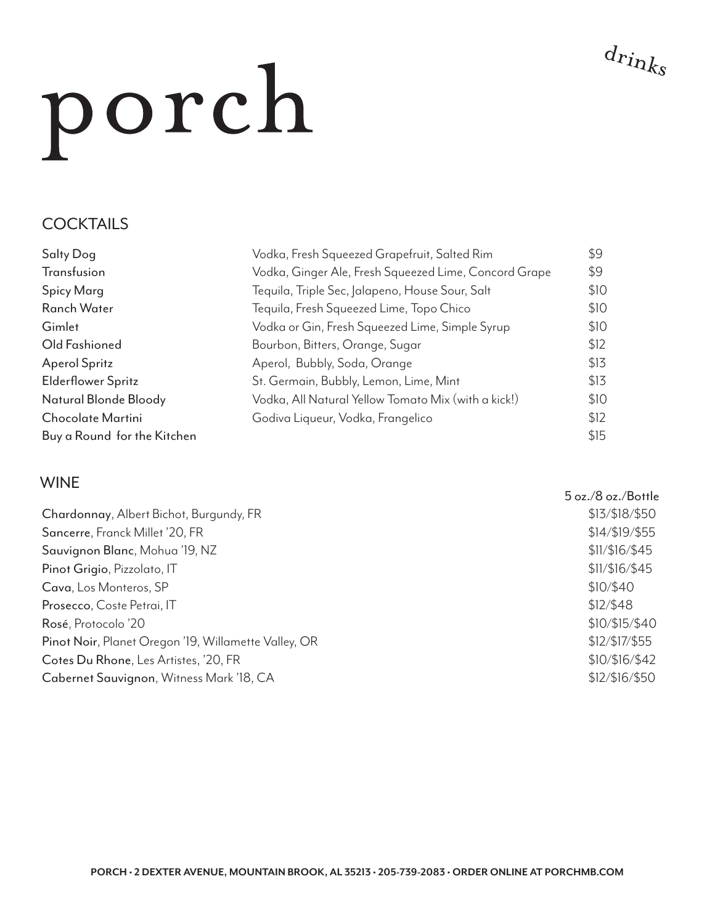### **COCKTAILS**

| <b>Salty Dog</b>            | Vodka, Fresh Squeezed Grapefruit, Salted Rim          | \$9  |
|-----------------------------|-------------------------------------------------------|------|
| Transfusion                 | Vodka, Ginger Ale, Fresh Squeezed Lime, Concord Grape | \$9  |
| Spicy Marg                  | Tequila, Triple Sec, Jalapeno, House Sour, Salt       | \$10 |
| <b>Ranch Water</b>          | Tequila, Fresh Squeezed Lime, Topo Chico              | \$10 |
| Gimlet                      | Vodka or Gin, Fresh Squeezed Lime, Simple Syrup       | \$10 |
| Old Fashioned               | Bourbon, Bitters, Orange, Sugar                       | \$12 |
| <b>Aperol Spritz</b>        | Aperol, Bubbly, Soda, Orange                          | \$13 |
| <b>Elderflower Spritz</b>   | St. Germain, Bubbly, Lemon, Lime, Mint                | \$13 |
| Natural Blonde Bloody       | Vodka, All Natural Yellow Tomato Mix (with a kick!)   | \$10 |
| Chocolate Martini           | Godiva Liqueur, Vodka, Frangelico                     | \$12 |
| Buy a Round for the Kitchen |                                                       | \$15 |

#### WINE

|                                                      | 5 oz./8 oz./Bottle |
|------------------------------------------------------|--------------------|
| Chardonnay, Albert Bichot, Burgundy, FR              | \$13/\$18/\$50     |
| Sancerre, Franck Millet '20, FR                      | \$14/\$19/\$55     |
| Sauvignon Blanc, Mohua '19, NZ                       | \$11/\$16/\$45     |
| Pinot Grigio, Pizzolato, IT                          | \$11/\$16/\$45     |
| Cava, Los Monteros, SP                               | \$10/\$40          |
| Prosecco, Coste Petrai, IT                           | \$12/\$48          |
| Rosé, Protocolo '20                                  | \$10/\$15/\$40     |
| Pinot Noir, Planet Oregon '19, Willamette Valley, OR | \$12/\$17/\$55     |
| Cotes Du Rhone, Les Artistes, '20, FR                | \$10/\$16/\$42     |
| Cabernet Sauvignon, Witness Mark '18, CA             | \$12/\$16/\$50     |
|                                                      |                    |